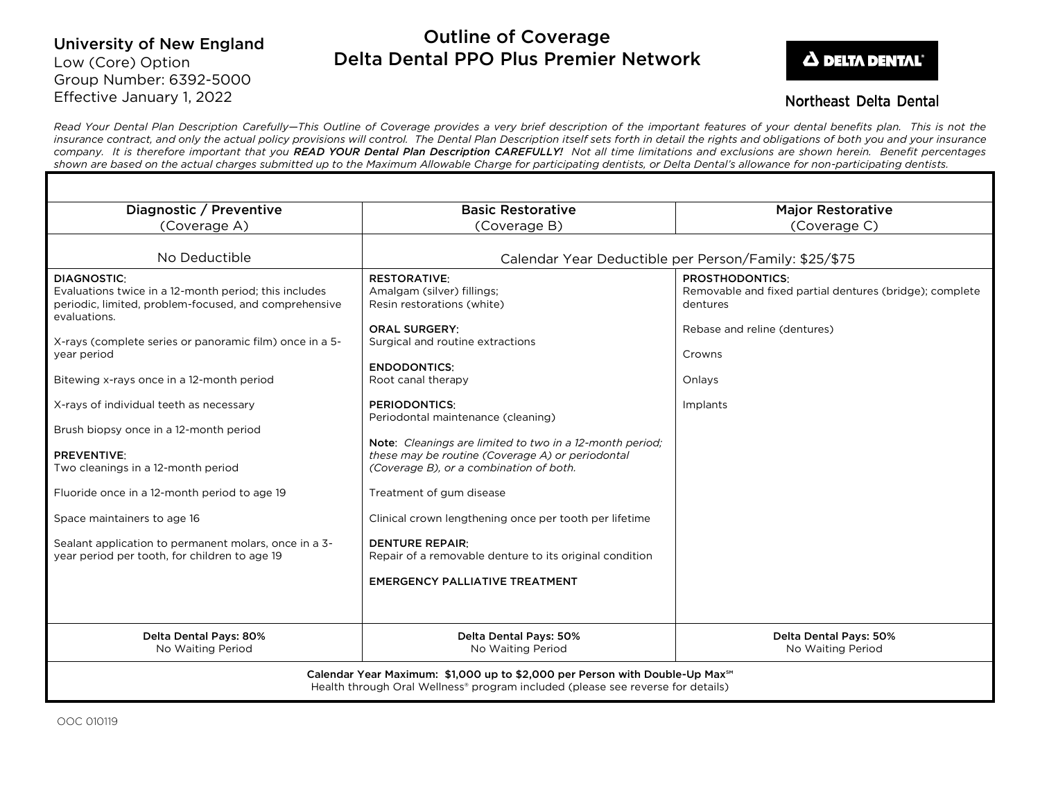# University of New England Low (Core) Option Group Number: 6392-5000 Effective January 1, 2022

# Outline of Coverage Delta Dental PPO Plus Premier Network



## **Northeast Delta Dental**

*Read Your Dental Plan Description Carefully—This Outline of Coverage provides a very brief description of the important features of your dental benefits plan. This is not the insurance contract, and only the actual policy provisions will control. The Dental Plan Description itself sets forth in detail the rights and obligations of both you and your insurance company. It is therefore important that you READ YOUR Dental Plan Description CAREFULLY! Not all time limitations and exclusions are shown herein. Benefit percentages shown are based on the actual charges submitted up to the Maximum Allowable Charge for participating dentists, or Delta Dental's allowance for non-participating dentists.*

| Diagnostic / Preventive                                                                                                                                                                                                                                                                                                                                   | <b>Basic Restorative</b>                                                                                                                                                                                                                                                                                           | <b>Major Restorative</b>                                                                                                                                      |
|-----------------------------------------------------------------------------------------------------------------------------------------------------------------------------------------------------------------------------------------------------------------------------------------------------------------------------------------------------------|--------------------------------------------------------------------------------------------------------------------------------------------------------------------------------------------------------------------------------------------------------------------------------------------------------------------|---------------------------------------------------------------------------------------------------------------------------------------------------------------|
| (Coverage A)                                                                                                                                                                                                                                                                                                                                              | (Coverage B)                                                                                                                                                                                                                                                                                                       | (Coverage C)                                                                                                                                                  |
| No Deductible                                                                                                                                                                                                                                                                                                                                             | Calendar Year Deductible per Person/Family: \$25/\$75                                                                                                                                                                                                                                                              |                                                                                                                                                               |
| DIAGNOSTIC:<br>Evaluations twice in a 12-month period; this includes<br>periodic, limited, problem-focused, and comprehensive<br>evaluations.<br>X-rays (complete series or panoramic film) once in a 5-<br>year period<br>Bitewing x-rays once in a 12-month period<br>X-rays of individual teeth as necessary<br>Brush biopsy once in a 12-month period | <b>RESTORATIVE:</b><br>Amalgam (silver) fillings;<br>Resin restorations (white)<br><b>ORAL SURGERY:</b><br>Surgical and routine extractions<br><b>ENDODONTICS:</b><br>Root canal therapy<br><b>PERIODONTICS:</b><br>Periodontal maintenance (cleaning)<br>Note: Cleanings are limited to two in a 12-month period: | <b>PROSTHODONTICS:</b><br>Removable and fixed partial dentures (bridge); complete<br>dentures<br>Rebase and reline (dentures)<br>Crowns<br>Onlays<br>Implants |
| <b>PREVENTIVE:</b><br>Two cleanings in a 12-month period<br>Fluoride once in a 12-month period to age 19<br>Space maintainers to age 16<br>Sealant application to permanent molars, once in a 3-<br>year period per tooth, for children to age 19                                                                                                         | these may be routine (Coverage A) or periodontal<br>(Coverage B), or a combination of both.<br>Treatment of gum disease<br>Clinical crown lengthening once per tooth per lifetime<br><b>DENTURE REPAIR:</b><br>Repair of a removable denture to its original condition<br><b>EMERGENCY PALLIATIVE TREATMENT</b>    |                                                                                                                                                               |
| Delta Dental Pays: 80%<br>No Waiting Period                                                                                                                                                                                                                                                                                                               | <b>Delta Dental Pays: 50%</b><br>No Waiting Period                                                                                                                                                                                                                                                                 | <b>Delta Dental Pays: 50%</b><br>No Waiting Period                                                                                                            |
| Calendar Year Maximum: \$1,000 up to \$2,000 per Person with Double-Up Max <sup>5M</sup><br>Health through Oral Wellness® program included (please see reverse for details)                                                                                                                                                                               |                                                                                                                                                                                                                                                                                                                    |                                                                                                                                                               |